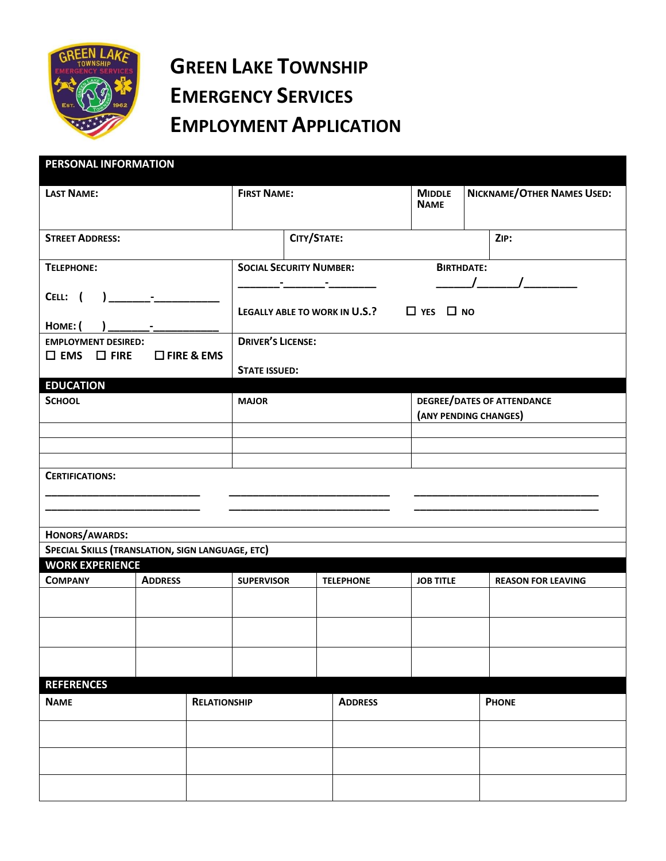

## **GREEN LAKE TOWNSHIP EMERGENCY SERVICES EMPLOYMENT APPLICATION**

| PERSONAL INFORMATION                                                               |                |                                                                 |                                                    |  |                                                              |                  |                                                            |                           |  |
|------------------------------------------------------------------------------------|----------------|-----------------------------------------------------------------|----------------------------------------------------|--|--------------------------------------------------------------|------------------|------------------------------------------------------------|---------------------------|--|
| <b>LAST NAME:</b>                                                                  |                | <b>FIRST NAME:</b>                                              |                                                    |  | <b>MIDDLE</b><br><b>NAME</b>                                 |                  | NICKNAME/OTHER NAMES USED:                                 |                           |  |
| <b>STREET ADDRESS:</b>                                                             |                |                                                                 | CITY/STATE:                                        |  |                                                              |                  |                                                            | ZIP:                      |  |
| <b>TELEPHONE:</b>                                                                  |                | <b>SOCIAL SECURITY NUMBER:</b><br>the company of the company of |                                                    |  | <b>BIRTHDATE:</b><br>$\begin{array}{ccc} \hline \end{array}$ |                  |                                                            |                           |  |
| <b>НОМЕ: (</b>                                                                     |                |                                                                 | LEGALLY ABLE TO WORK IN U.S.? $\Box$ YES $\Box$ NO |  |                                                              |                  |                                                            |                           |  |
| <b>EMPLOYMENT DESIRED:</b><br>$\square$ FIRE & EMS<br>$\square$ EMS $\square$ FIRE |                |                                                                 | <b>DRIVER'S LICENSE:</b><br><b>STATE ISSUED:</b>   |  |                                                              |                  |                                                            |                           |  |
| <b>EDUCATION</b>                                                                   |                |                                                                 |                                                    |  |                                                              |                  |                                                            |                           |  |
| <b>SCHOOL</b>                                                                      |                |                                                                 | <b>MAJOR</b>                                       |  |                                                              |                  | <b>DEGREE/DATES OF ATTENDANCE</b><br>(ANY PENDING CHANGES) |                           |  |
|                                                                                    |                |                                                                 |                                                    |  |                                                              |                  |                                                            |                           |  |
|                                                                                    |                |                                                                 |                                                    |  |                                                              |                  |                                                            |                           |  |
| <b>CERTIFICATIONS:</b>                                                             |                |                                                                 |                                                    |  |                                                              |                  |                                                            |                           |  |
| HONORS/AWARDS:                                                                     |                |                                                                 |                                                    |  |                                                              |                  |                                                            |                           |  |
| SPECIAL SKILLS (TRANSLATION, SIGN LANGUAGE, ETC)<br><b>WORK EXPERIENCE</b>         |                |                                                                 |                                                    |  |                                                              |                  |                                                            |                           |  |
| <b>COMPANY</b>                                                                     | <b>ADDRESS</b> |                                                                 | <b>SUPERVISOR</b>                                  |  | <b>TELEPHONE</b>                                             | <b>JOB TITLE</b> |                                                            | <b>REASON FOR LEAVING</b> |  |
|                                                                                    |                |                                                                 |                                                    |  |                                                              |                  |                                                            |                           |  |
|                                                                                    |                |                                                                 |                                                    |  |                                                              |                  |                                                            |                           |  |
|                                                                                    |                |                                                                 |                                                    |  |                                                              |                  |                                                            |                           |  |
| <b>REFERENCES</b>                                                                  |                |                                                                 |                                                    |  |                                                              |                  |                                                            |                           |  |
| <b>NAME</b>                                                                        |                | <b>RELATIONSHIP</b>                                             |                                                    |  | <b>ADDRESS</b>                                               |                  | <b>PHONE</b>                                               |                           |  |
|                                                                                    |                |                                                                 |                                                    |  |                                                              |                  |                                                            |                           |  |
|                                                                                    |                |                                                                 |                                                    |  |                                                              |                  |                                                            |                           |  |
|                                                                                    |                |                                                                 |                                                    |  |                                                              |                  |                                                            |                           |  |